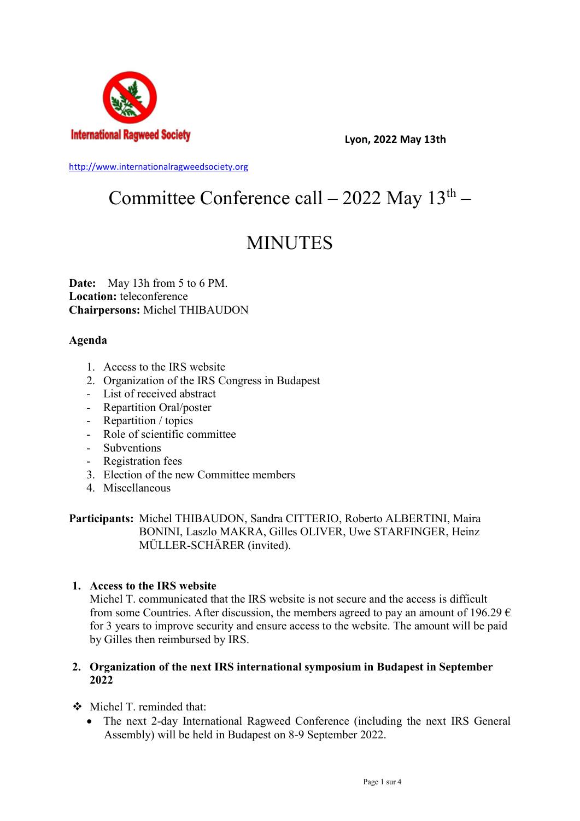

**Lyon, 2022 May 13th**

[http://www.internationalragweedsociety.org](http://www.internationalragweedsociety.org/)

# Committee Conference call  $-$  2022 May 13<sup>th</sup>  $-$

## **MINUTES**

**Date:** May 13h from 5 to 6 PM. **Location:** teleconference **Chairpersons:** Michel THIBAUDON

#### **Agenda**

- 1. Access to the IRS website
- 2. Organization of the IRS Congress in Budapest
- List of received abstract
- Repartition Oral/poster
- Repartition / topics
- Role of scientific committee
- Subventions
- Registration fees
- 3. Election of the new Committee members
- 4. Miscellaneous

**Participants:** Michel THIBAUDON, Sandra CITTERIO, Roberto ALBERTINI, Maira BONINI, Laszlo MAKRA, Gilles OLIVER, Uwe STARFINGER, Heinz MÜLLER-SCHÄRER (invited).

#### **1. Access to the IRS website**

Michel T. communicated that the IRS website is not secure and the access is difficult from some Countries. After discussion, the members agreed to pay an amount of 196.29  $\epsilon$ for 3 years to improve security and ensure access to the website. The amount will be paid by Gilles then reimbursed by IRS.

#### **2. Organization of the next IRS international symposium in Budapest in September 2022**

#### Michel T. reminded that:

• The next 2-day International Ragweed Conference (including the next IRS General Assembly) will be held in Budapest on 8-9 September 2022.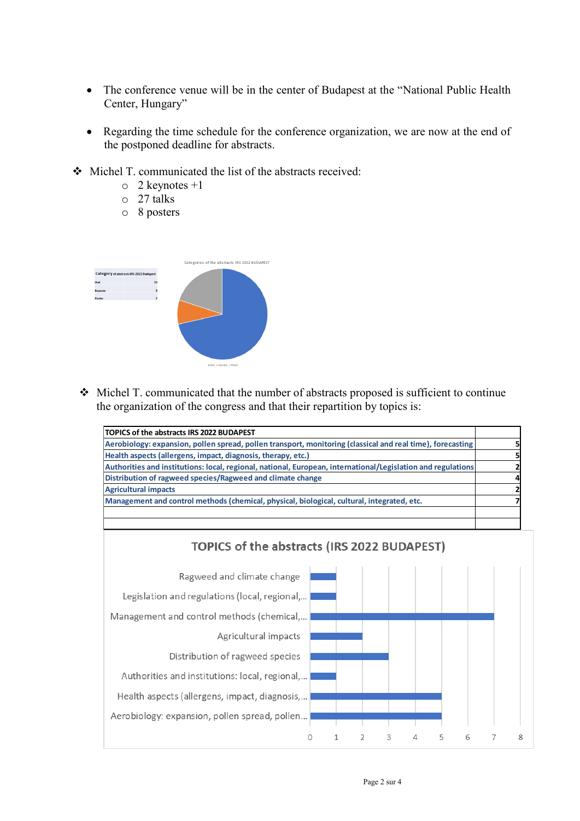- The conference venue will be in the center of Budapest at the "National Public Health Center, Hungary"
- Regarding the time schedule for the conference organization, we are now at the end of the postponed deadline for abstracts.
- Michel T. communicated the list of the abstracts received:
	- $\circ$  2 keynotes +1
	- o 27 talks
	- o 8 posters



 $\div$  Michel T. communicated that the number of abstracts proposed is sufficient to continue the organization of the congress and that their repartition by topics is:

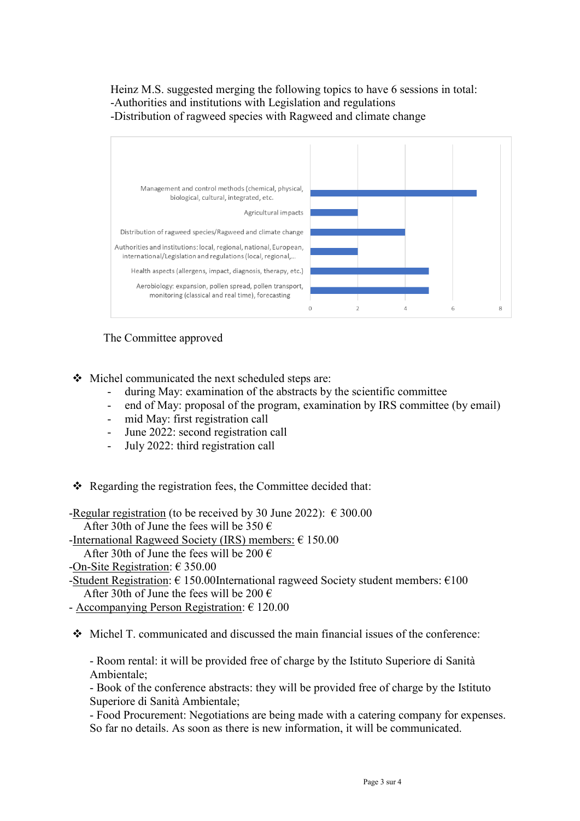#### Heinz M.S. suggested merging the following topics to have 6 sessions in total: -Authorities and institutions with Legislation and regulations -Distribution of ragweed species with Ragweed and climate change



The Committee approved

Michel communicated the next scheduled steps are:

- during May: examination of the abstracts by the scientific committee
- end of May: proposal of the program, examination by IRS committee (by email)
- mid May: first registration call
- June 2022: second registration call
- July 2022: third registration call

 $\triangle$  Regarding the registration fees, the Committee decided that:

-Regular registration (to be received by 30 June 2022):  $\epsilon$  300.00 After 30th of June the fees will be  $350 \in$ -International Ragweed Society (IRS) members:  $\epsilon$  150.00 After 30th of June the fees will be 200  $\epsilon$ -On-Site Registration:  $\epsilon$  350.00 -Student Registration:  $\epsilon$  150.00International ragweed Society student members:  $\epsilon$ 100 After 30th of June the fees will be 200  $\epsilon$ - Accompanying Person Registration:  $\epsilon$  120.00  $\div$  Michel T. communicated and discussed the main financial issues of the conference:

- Room rental: it will be provided free of charge by the Istituto Superiore di Sanità Ambientale;

- Book of the conference abstracts: they will be provided free of charge by the Istituto Superiore di Sanità Ambientale;

- Food Procurement: Negotiations are being made with a catering company for expenses. So far no details. As soon as there is new information, it will be communicated.